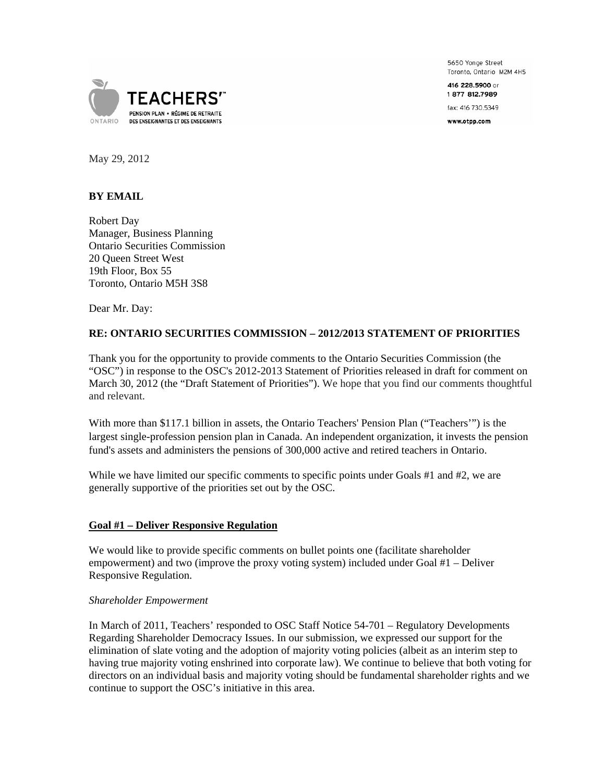5650 Yonge Street Toronto, Ontario M2M 4H5

416 228,5900 or 1877 812.7989

fax: 416 730.5349

www.otpp.com



May 29, 2012

# **BY EMAIL**

Robert Day Manager, Business Planning Ontario Securities Commission 20 Queen Street West 19th Floor, Box 55 Toronto, Ontario M5H 3S8

Dear Mr. Day:

# **RE: ONTARIO SECURITIES COMMISSION – 2012/2013 STATEMENT OF PRIORITIES**

Thank you for the opportunity to provide comments to the Ontario Securities Commission (the "OSC") in response to the OSC's 2012-2013 Statement of Priorities released in draft for comment on March 30, 2012 (the "Draft Statement of Priorities"). We hope that you find our comments thoughtful and relevant.

With more than \$117.1 billion in assets, the Ontario Teachers' Pension Plan ("Teachers'") is the largest single-profession pension plan in Canada. An independent organization, it invests the pension fund's assets and administers the pensions of 300,000 active and retired teachers in Ontario.

While we have limited our specific comments to specific points under Goals #1 and #2, we are generally supportive of the priorities set out by the OSC.

### **Goal #1 – Deliver Responsive Regulation**

We would like to provide specific comments on bullet points one (facilitate shareholder empowerment) and two (improve the proxy voting system) included under Goal #1 – Deliver Responsive Regulation.

#### *Shareholder Empowerment*

In March of 2011, Teachers' responded to OSC Staff Notice 54-701 – Regulatory Developments Regarding Shareholder Democracy Issues. In our submission, we expressed our support for the elimination of slate voting and the adoption of majority voting policies (albeit as an interim step to having true majority voting enshrined into corporate law). We continue to believe that both voting for directors on an individual basis and majority voting should be fundamental shareholder rights and we continue to support the OSC's initiative in this area.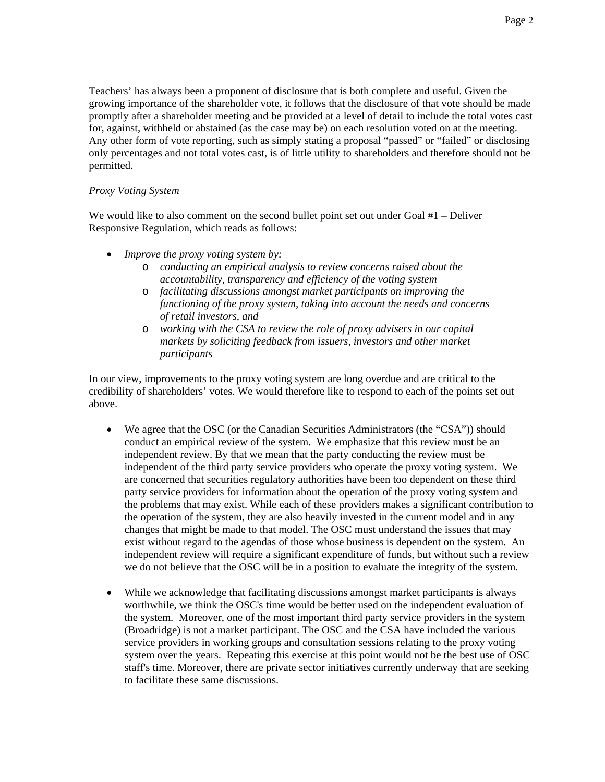Teachers' has always been a proponent of disclosure that is both complete and useful. Given the growing importance of the shareholder vote, it follows that the disclosure of that vote should be made promptly after a shareholder meeting and be provided at a level of detail to include the total votes cast for, against, withheld or abstained (as the case may be) on each resolution voted on at the meeting. Any other form of vote reporting, such as simply stating a proposal "passed" or "failed" or disclosing only percentages and not total votes cast, is of little utility to shareholders and therefore should not be permitted.

## *Proxy Voting System*

We would like to also comment on the second bullet point set out under Goal #1 – Deliver Responsive Regulation, which reads as follows:

- *Improve the proxy voting system by:* 
	- o *conducting an empirical analysis to review concerns raised about the accountability, transparency and efficiency of the voting system*
	- o *facilitating discussions amongst market participants on improving the functioning of the proxy system, taking into account the needs and concerns of retail investors, and*
	- o *working with the CSA to review the role of proxy advisers in our capital markets by soliciting feedback from issuers, investors and other market participants*

In our view, improvements to the proxy voting system are long overdue and are critical to the credibility of shareholders' votes. We would therefore like to respond to each of the points set out above.

- We agree that the OSC (or the Canadian Securities Administrators (the "CSA")) should conduct an empirical review of the system. We emphasize that this review must be an independent review. By that we mean that the party conducting the review must be independent of the third party service providers who operate the proxy voting system. We are concerned that securities regulatory authorities have been too dependent on these third party service providers for information about the operation of the proxy voting system and the problems that may exist. While each of these providers makes a significant contribution to the operation of the system, they are also heavily invested in the current model and in any changes that might be made to that model. The OSC must understand the issues that may exist without regard to the agendas of those whose business is dependent on the system. An independent review will require a significant expenditure of funds, but without such a review we do not believe that the OSC will be in a position to evaluate the integrity of the system.
- While we acknowledge that facilitating discussions amongst market participants is always worthwhile, we think the OSC's time would be better used on the independent evaluation of the system. Moreover, one of the most important third party service providers in the system (Broadridge) is not a market participant. The OSC and the CSA have included the various service providers in working groups and consultation sessions relating to the proxy voting system over the years. Repeating this exercise at this point would not be the best use of OSC staff's time. Moreover, there are private sector initiatives currently underway that are seeking to facilitate these same discussions.